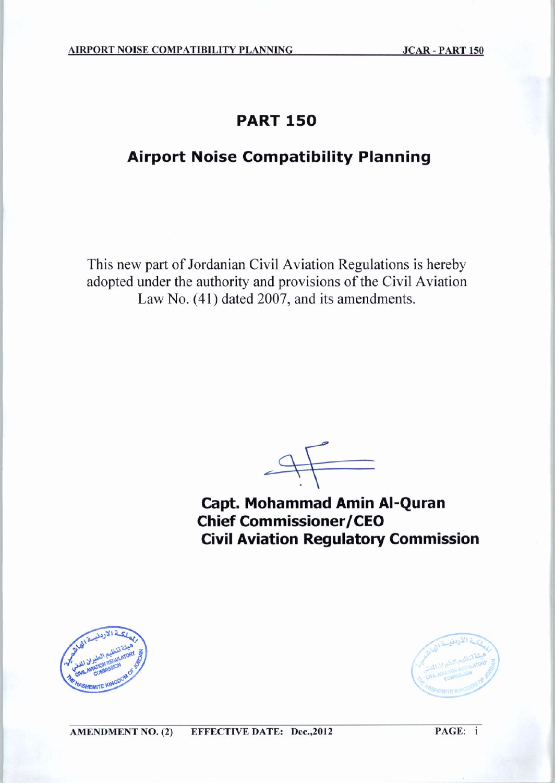# **PART 150**

# **Airport Noise Compatibility Planning**

This new part of Jordanian Civil Aviation Regulations is hereby adopted under the authority and provisions of the Civil Aviation Law No. (41) dated 2007, and its amendments.

 $\leftarrow$ 

Capt. Mohammad Amin Al-Quran **Chief Commissioner/CEO Civil Aviation Regulatory Commission** 





 $PAGE: i$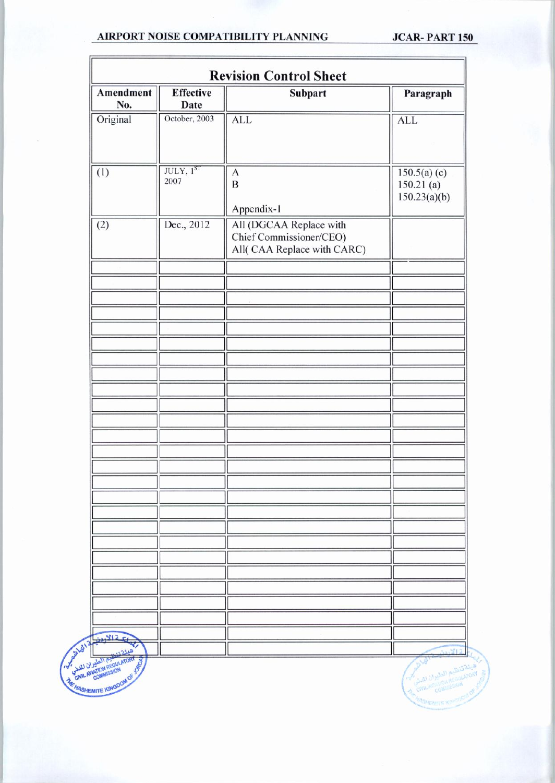#### AIRPORT NOISE COMPATIBILITY PLANNING

**JCAR-PART 150** 

| Amendment<br>No.                                                 | <b>Effective</b><br>Date | <b>Subpart</b>                                                                    | Paragraph                      |
|------------------------------------------------------------------|--------------------------|-----------------------------------------------------------------------------------|--------------------------------|
| Original                                                         | October, 2003            | <b>ALL</b>                                                                        | <b>ALL</b>                     |
| (1)                                                              | JULY, 1ST<br>2007        | $\mathbf{A}$<br>$\mathbf B$                                                       | $150.5(a)$ (c)<br>$150.21$ (a) |
|                                                                  |                          | Appendix-1                                                                        | 150.23(a)(b)                   |
| (2)                                                              | Dec., 2012               | All (DGCAA Replace with<br>Chief Commissioner/CEO)<br>All( CAA Replace with CARC) |                                |
|                                                                  |                          |                                                                                   |                                |
|                                                                  |                          |                                                                                   |                                |
|                                                                  |                          |                                                                                   |                                |
|                                                                  |                          |                                                                                   |                                |
|                                                                  |                          |                                                                                   |                                |
|                                                                  |                          |                                                                                   |                                |
|                                                                  |                          |                                                                                   |                                |
|                                                                  |                          |                                                                                   |                                |
|                                                                  |                          |                                                                                   |                                |
|                                                                  |                          |                                                                                   |                                |
|                                                                  |                          |                                                                                   |                                |
|                                                                  |                          |                                                                                   |                                |
|                                                                  |                          |                                                                                   |                                |
| 32512<br>CATALOG AND REGULATORY<br><b>FOR ANATION REGULATORY</b> |                          |                                                                                   |                                |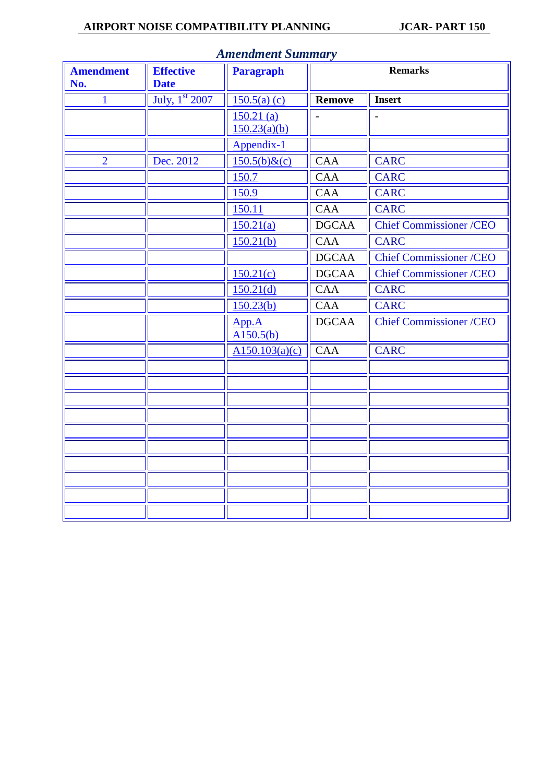### **AIRPORT NOISE COMPATIBILITY PLANNING JCAR- PART 150**

| <b>Amendment</b><br>No. | <b>Effective</b><br><b>Date</b> | <b>Paragraph</b>   | <b>Remarks</b> |                                |  |
|-------------------------|---------------------------------|--------------------|----------------|--------------------------------|--|
| $\mathbf{1}$            | July, 1st 2007                  | $150.5(a)$ (c)     | <b>Remove</b>  | <b>Insert</b>                  |  |
|                         |                                 | $150.21$ (a)       |                |                                |  |
|                         |                                 | 150.23(a)(b)       |                |                                |  |
|                         |                                 | Appendix-1         |                |                                |  |
| $\overline{2}$          | Dec. 2012                       | $150.5(b)$ &(c)    | <b>CAA</b>     | <b>CARC</b>                    |  |
|                         |                                 | 150.7              | CAA            | <b>CARC</b>                    |  |
|                         |                                 | 150.9              | CAA            | <b>CARC</b>                    |  |
|                         |                                 | 150.11             | <b>CAA</b>     | <b>CARC</b>                    |  |
|                         |                                 | 150.21(a)          | <b>DGCAA</b>   | <b>Chief Commissioner /CEO</b> |  |
|                         |                                 | 150.21(b)          | <b>CAA</b>     | <b>CARC</b>                    |  |
|                         |                                 |                    | <b>DGCAA</b>   | <b>Chief Commissioner /CEO</b> |  |
|                         |                                 | 150.21(c)          | <b>DGCAA</b>   | <b>Chief Commissioner /CEO</b> |  |
|                         |                                 | 150.21(d)          | <b>CAA</b>     | <b>CARC</b>                    |  |
|                         |                                 | 150.23(b)          | <b>CAA</b>     | <b>CARC</b>                    |  |
|                         |                                 | App.A<br>A150.5(b) | <b>DGCAA</b>   | <b>Chief Commissioner /CEO</b> |  |
|                         |                                 | A150.103(a)(c)     | <b>CAA</b>     | <b>CARC</b>                    |  |
|                         |                                 |                    |                |                                |  |
|                         |                                 |                    |                |                                |  |
|                         |                                 |                    |                |                                |  |
|                         |                                 |                    |                |                                |  |
|                         |                                 |                    |                |                                |  |
|                         |                                 |                    |                |                                |  |
|                         |                                 |                    |                |                                |  |
|                         |                                 |                    |                |                                |  |
|                         |                                 |                    |                |                                |  |
|                         |                                 |                    |                |                                |  |

#### *Amendment Summary*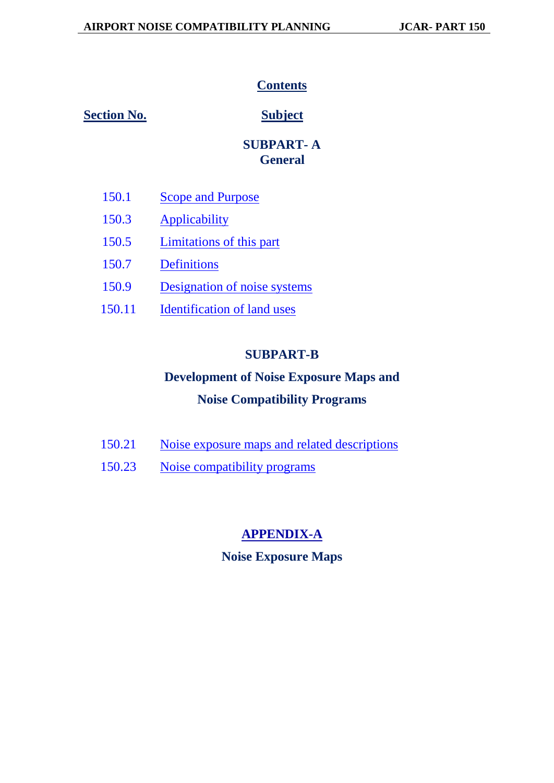# *<u>Contents</u>*

**1BSection No. 6BSubject** 

# *5B***SUBPART- A** *10B***General**

- **250.1 222 150.1 222 150.1 150.1 150.1 150.1 150.1 150.1 150.1 150.1 150.1 150.1 150.1 150.1 150.1 150.1 150.1 150.1 150.1 150.1 150.1 150.1 150.1 150.1 150.1 150.1**
- 150.3 **[Applicability](#page-4-2)**
- 150.5 *[Limitations of this part](#page-4-0)*
- 150.7 **[Definitions](#page-5-0)**
- 150.9 *<u>Designation</u>* of noise systems
- 150.11 **[Identification of land uses](#page-7-1)**

# *8B***SUBPART-B**

# **Development of Noise Exposure Maps and Noise Compatibility Programs**

| 150.21 | Noise exposure maps and related descriptions |
|--------|----------------------------------------------|
| 150.23 | Noise compatibility programs                 |

# $\overline{APPENDIX-A}$  $\overline{APPENDIX-A}$  $\overline{APPENDIX-A}$

# **Noise Exposure Maps**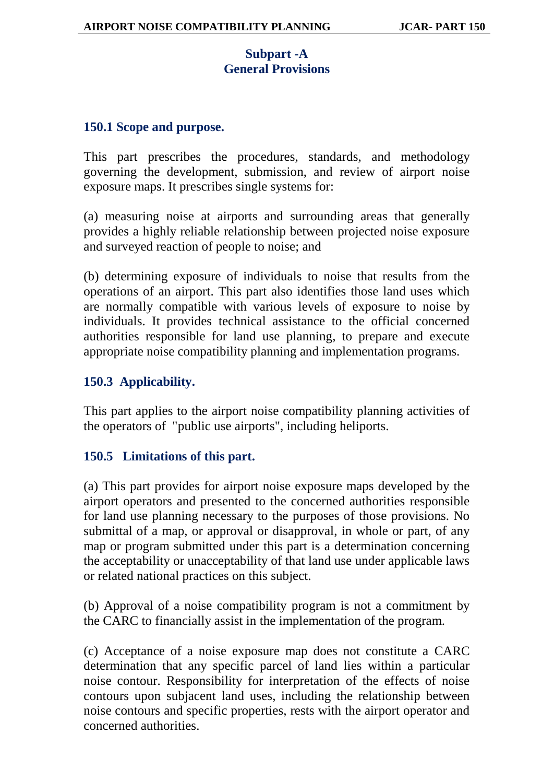# **Subpart -A General Provisions**

#### <span id="page-4-1"></span>**150.1 Scope and purpose.**

This part prescribes the procedures, standards, and methodology governing the development, submission, and review of airport noise exposure maps. It prescribes single systems for:

(a) measuring noise at airports and surrounding areas that generally provides a highly reliable relationship between projected noise exposure and surveyed reaction of people to noise; and

(b) determining exposure of individuals to noise that results from the operations of an airport. This part also identifies those land uses which are normally compatible with various levels of exposure to noise by individuals. It provides technical assistance to the official concerned authorities responsible for land use planning, to prepare and execute appropriate noise compatibility planning and implementation programs.

## <span id="page-4-2"></span>**150.3 Applicability.**

This part applies to the airport noise compatibility planning activities of the operators of "public use airports", including heliports.

## <span id="page-4-0"></span>**150.5 Limitations of this part.**

(a) This part provides for airport noise exposure maps developed by the airport operators and presented to the concerned authorities responsible for land use planning necessary to the purposes of those provisions. No submittal of a map, or approval or disapproval, in whole or part, of any map or program submitted under this part is a determination concerning the acceptability or unacceptability of that land use under applicable laws or related national practices on this subject.

(b) Approval of a noise compatibility program is not a commitment by the CARC to financially assist in the implementation of the program.

(c) Acceptance of a noise exposure map does not constitute a CARC determination that any specific parcel of land lies within a particular noise contour. Responsibility for interpretation of the effects of noise contours upon subjacent land uses, including the relationship between noise contours and specific properties, rests with the airport operator and concerned authorities.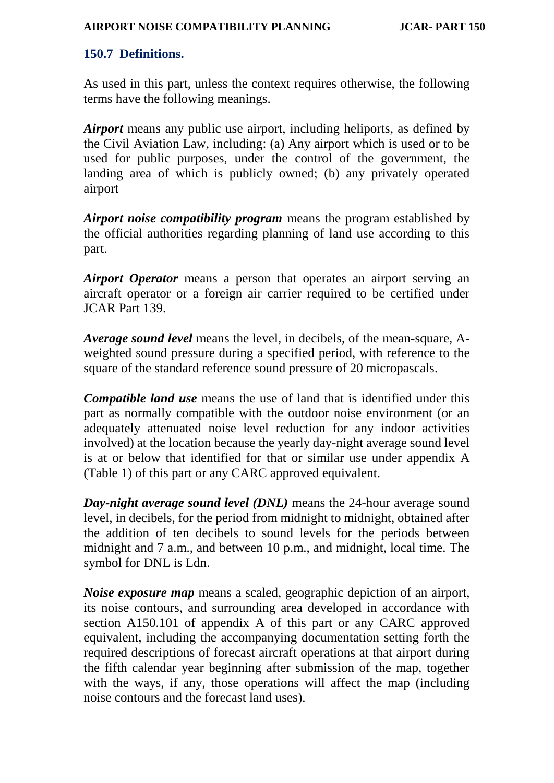# <span id="page-5-0"></span>**150.7 Definitions.**

As used in this part, unless the context requires otherwise, the following terms have the following meanings.

*Airport* means any public use airport, including heliports, as defined by the Civil Aviation Law, including: (a) Any airport which is used or to be used for public purposes, under the control of the government, the landing area of which is publicly owned; (b) any privately operated airport

*Airport noise compatibility program* means the program established by the official authorities regarding planning of land use according to this part.

*Airport Operator* means a person that operates an airport serving an aircraft operator or a foreign air carrier required to be certified under JCAR Part 139.

*Average sound level* means the level, in decibels, of the mean-square, Aweighted sound pressure during a specified period, with reference to the square of the standard reference sound pressure of 20 micropascals.

*Compatible land use* means the use of land that is identified under this part as normally compatible with the outdoor noise environment (or an adequately attenuated noise level reduction for any indoor activities involved) at the location because the yearly day-night average sound level is at or below that identified for that or similar use under appendix A (Table 1) of this part or any CARC approved equivalent.

*Day-night average sound level (DNL)* means the 24-hour average sound level, in decibels, for the period from midnight to midnight, obtained after the addition of ten decibels to sound levels for the periods between midnight and 7 a.m., and between 10 p.m., and midnight, local time. The symbol for DNL is Ldn.

*Noise exposure map* means a scaled, geographic depiction of an airport, its noise contours, and surrounding area developed in accordance with section A150.101 of appendix A of this part or any CARC approved equivalent, including the accompanying documentation setting forth the required descriptions of forecast aircraft operations at that airport during the fifth calendar year beginning after submission of the map, together with the ways, if any, those operations will affect the map (including noise contours and the forecast land uses).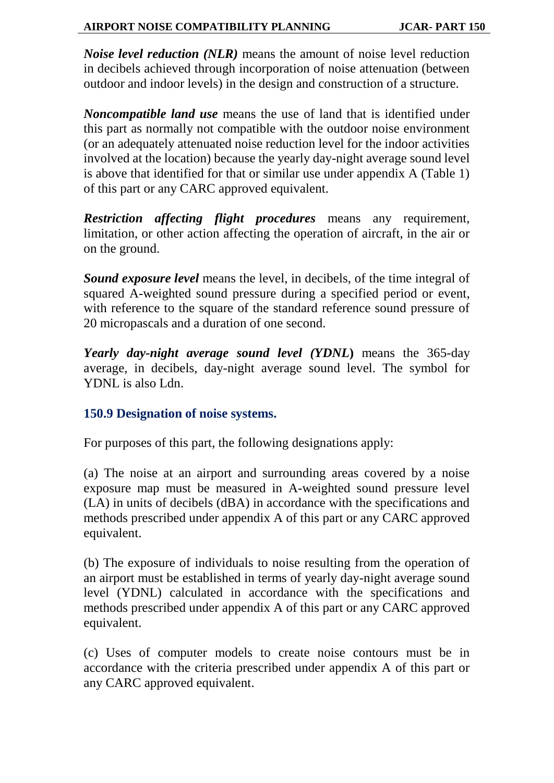*Noise level reduction (NLR)* means the amount of noise level reduction in decibels achieved through incorporation of noise attenuation (between outdoor and indoor levels) in the design and construction of a structure.

*Noncompatible land use* means the use of land that is identified under this part as normally not compatible with the outdoor noise environment (or an adequately attenuated noise reduction level for the indoor activities involved at the location) because the yearly day-night average sound level is above that identified for that or similar use under appendix A (Table 1) of this part or any CARC approved equivalent.

*Restriction affecting flight procedures* means any requirement, limitation, or other action affecting the operation of aircraft, in the air or on the ground.

*Sound exposure level* means the level, in decibels, of the time integral of squared A-weighted sound pressure during a specified period or event, with reference to the square of the standard reference sound pressure of 20 micropascals and a duration of one second.

*Yearly day-night average sound level (YDNL***)** means the 365-day average, in decibels, day-night average sound level. The symbol for YDNL is also Ldn.

## <span id="page-6-0"></span>**150.9 Designation of noise systems.**

For purposes of this part, the following designations apply:

(a) The noise at an airport and surrounding areas covered by a noise exposure map must be measured in A-weighted sound pressure level (LA) in units of decibels (dBA) in accordance with the specifications and methods prescribed under appendix A of this part or any CARC approved equivalent.

(b) The exposure of individuals to noise resulting from the operation of an airport must be established in terms of yearly day-night average sound level (YDNL) calculated in accordance with the specifications and methods prescribed under appendix A of this part or any CARC approved equivalent.

(c) Uses of computer models to create noise contours must be in accordance with the criteria prescribed under appendix A of this part or any CARC approved equivalent.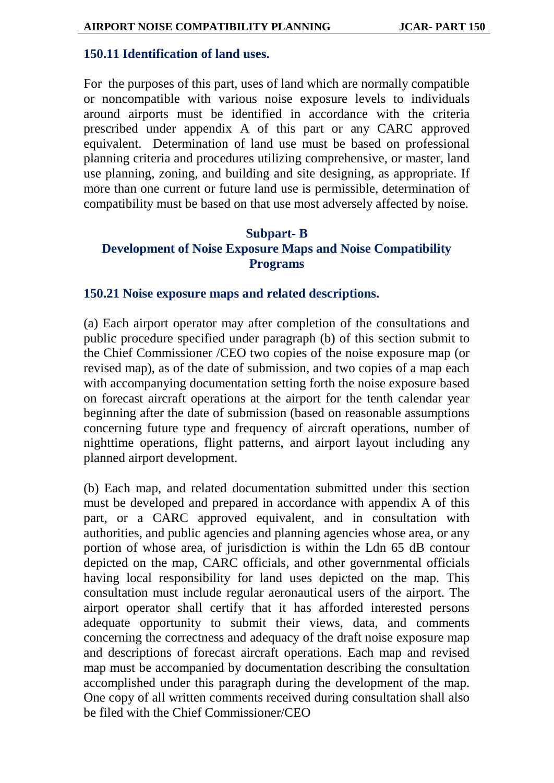#### <span id="page-7-1"></span>**150.11 Identification of land uses.**

For the purposes of this part, uses of land which are normally compatible or noncompatible with various noise exposure levels to individuals around airports must be identified in accordance with the criteria prescribed under appendix A of this part or any CARC approved equivalent. Determination of land use must be based on professional planning criteria and procedures utilizing comprehensive, or master, land use planning, zoning, and building and site designing, as appropriate. If more than one current or future land use is permissible, determination of compatibility must be based on that use most adversely affected by noise.

# **Subpart- B Development of Noise Exposure Maps and Noise Compatibility Programs**

#### <span id="page-7-0"></span>**150.21 Noise exposure maps and related descriptions.**

(a) Each airport operator may after completion of the consultations and public procedure specified under paragraph (b) of this section submit to the Chief Commissioner /CEO two copies of the noise exposure map (or revised map), as of the date of submission, and two copies of a map each with accompanying documentation setting forth the noise exposure based on forecast aircraft operations at the airport for the tenth calendar year beginning after the date of submission (based on reasonable assumptions concerning future type and frequency of aircraft operations, number of nighttime operations, flight patterns, and airport layout including any planned airport development.

(b) Each map, and related documentation submitted under this section must be developed and prepared in accordance with appendix A of this part, or a CARC approved equivalent, and in consultation with authorities, and public agencies and planning agencies whose area, or any portion of whose area, of jurisdiction is within the Ldn 65 dB contour depicted on the map, CARC officials, and other governmental officials having local responsibility for land uses depicted on the map. This consultation must include regular aeronautical users of the airport. The airport operator shall certify that it has afforded interested persons adequate opportunity to submit their views, data, and comments concerning the correctness and adequacy of the draft noise exposure map and descriptions of forecast aircraft operations. Each map and revised map must be accompanied by documentation describing the consultation accomplished under this paragraph during the development of the map. One copy of all written comments received during consultation shall also be filed with the Chief Commissioner/CEO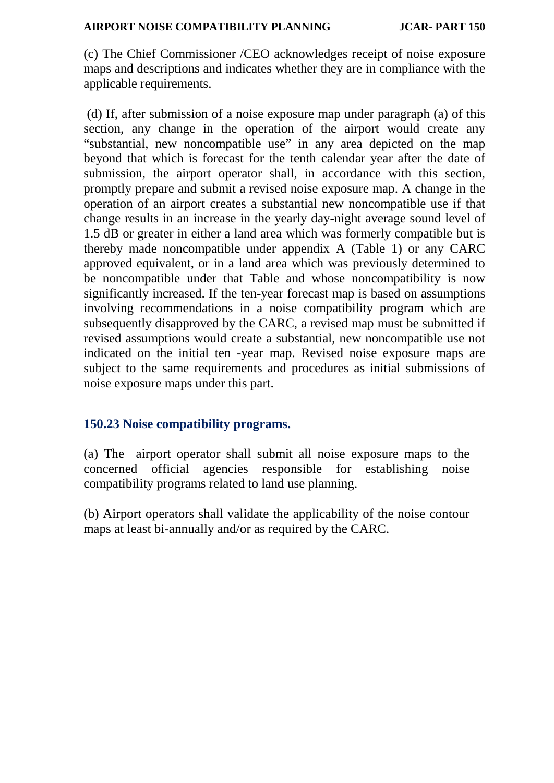(c) The Chief Commissioner /CEO acknowledges receipt of noise exposure maps and descriptions and indicates whether they are in compliance with the applicable requirements.

(d) If, after submission of a noise exposure map under paragraph (a) of this section, any change in the operation of the airport would create any "substantial, new noncompatible use" in any area depicted on the map beyond that which is forecast for the tenth calendar year after the date of submission, the airport operator shall, in accordance with this section, promptly prepare and submit a revised noise exposure map. A change in the operation of an airport creates a substantial new noncompatible use if that change results in an increase in the yearly day-night average sound level of 1.5 dB or greater in either a land area which was formerly compatible but is thereby made noncompatible under appendix A (Table 1) or any CARC approved equivalent, or in a land area which was previously determined to be noncompatible under that Table and whose noncompatibility is now significantly increased. If the ten-year forecast map is based on assumptions involving recommendations in a noise compatibility program which are subsequently disapproved by the CARC, a revised map must be submitted if revised assumptions would create a substantial, new noncompatible use not indicated on the initial ten -year map. Revised noise exposure maps are subject to the same requirements and procedures as initial submissions of noise exposure maps under this part.

# <span id="page-8-0"></span>**150.23 Noise compatibility programs.**

(a) The airport operator shall submit all noise exposure maps to the concerned official agencies responsible for establishing noise compatibility programs related to land use planning.

(b) Airport operators shall validate the applicability of the noise contour maps at least bi-annually and/or as required by the CARC.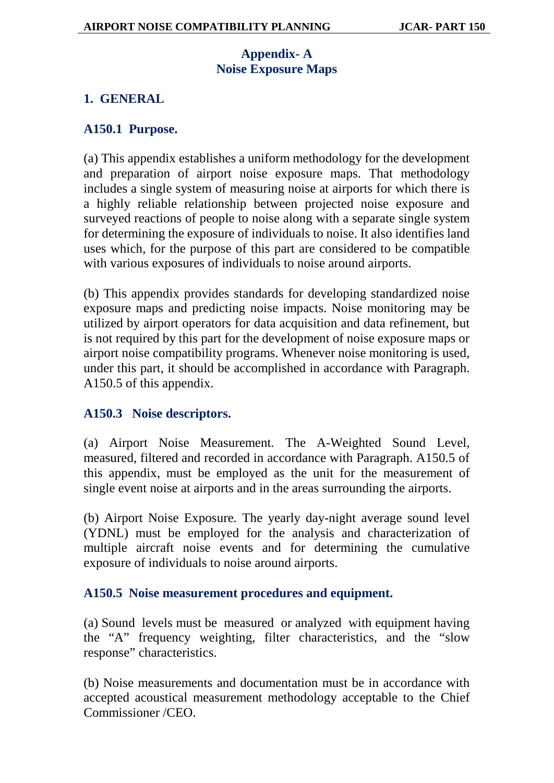# **Appendix- A Noise Exposure Maps**

# <span id="page-9-0"></span>**1. GENERAL**

# <span id="page-9-2"></span>**A150.1 Purpose.**

(a) This appendix establishes a uniform methodology for the development and preparation of airport noise exposure maps. That methodology includes a single system of measuring noise at airports for which there is a highly reliable relationship between projected noise exposure and surveyed reactions of people to noise along with a separate single system for determining the exposure of individuals to noise. It also identifies land uses which, for the purpose of this part are considered to be compatible with various exposures of individuals to noise around airports.

(b) This appendix provides standards for developing standardized noise exposure maps and predicting noise impacts. Noise monitoring may be utilized by airport operators for data acquisition and data refinement, but is not required by this part for the development of noise exposure maps or airport noise compatibility programs. Whenever noise monitoring is used, under this part, it should be accomplished in accordance with Paragraph. A150.5 of this appendix.

# **A150.3 Noise descriptors.**

(a) Airport Noise Measurement*.* The A-Weighted Sound Level, measured, filtered and recorded in accordance with Paragraph. A150.5 of this appendix, must be employed as the unit for the measurement of single event noise at airports and in the areas surrounding the airports.

(b) Airport Noise Exposure*.* The yearly day-night average sound level (YDNL) must be employed for the analysis and characterization of multiple aircraft noise events and for determining the cumulative exposure of individuals to noise around airports.

## <span id="page-9-1"></span>**A150.5 Noise measurement procedures and equipment.**

(a) Sound levels must be measured or analyzed with equipment having the "A" frequency weighting, filter characteristics, and the "slow response" characteristics.

(b) Noise measurements and documentation must be in accordance with accepted acoustical measurement methodology acceptable to the Chief Commissioner /CEO.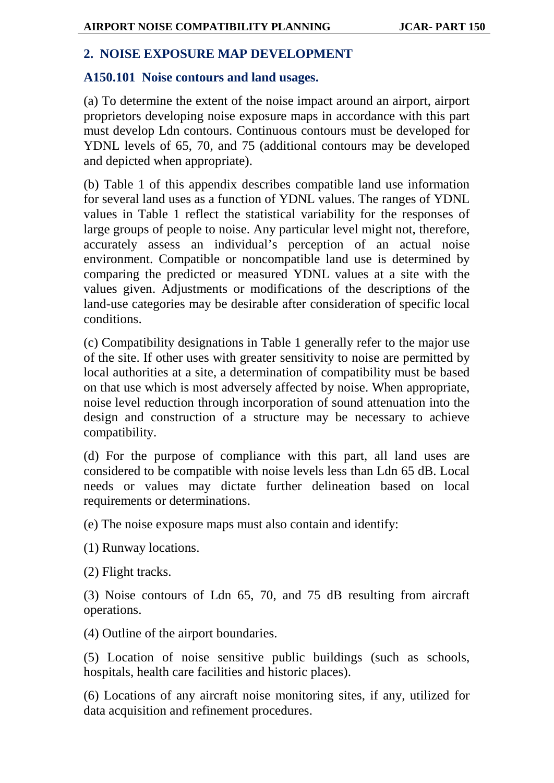# **2. NOISE EXPOSURE MAP DEVELOPMENT**

## **A150.101 Noise contours and land usages.**

(a) To determine the extent of the noise impact around an airport, airport proprietors developing noise exposure maps in accordance with this part must develop Ldn contours. Continuous contours must be developed for YDNL levels of 65, 70, and 75 (additional contours may be developed and depicted when appropriate).

(b) Table 1 of this appendix describes compatible land use information for several land uses as a function of YDNL values. The ranges of YDNL values in Table 1 reflect the statistical variability for the responses of large groups of people to noise. Any particular level might not, therefore, accurately assess an individual's perception of an actual noise environment. Compatible or noncompatible land use is determined by comparing the predicted or measured YDNL values at a site with the values given. Adjustments or modifications of the descriptions of the land-use categories may be desirable after consideration of specific local conditions.

(c) Compatibility designations in Table 1 generally refer to the major use of the site. If other uses with greater sensitivity to noise are permitted by local authorities at a site, a determination of compatibility must be based on that use which is most adversely affected by noise. When appropriate, noise level reduction through incorporation of sound attenuation into the design and construction of a structure may be necessary to achieve compatibility.

(d) For the purpose of compliance with this part, all land uses are considered to be compatible with noise levels less than Ldn 65 dB. Local needs or values may dictate further delineation based on local requirements or determinations.

(e) The noise exposure maps must also contain and identify:

(1) Runway locations.

(2) Flight tracks.

(3) Noise contours of Ldn 65, 70, and 75 dB resulting from aircraft operations.

(4) Outline of the airport boundaries.

(5) Location of noise sensitive public buildings (such as schools, hospitals, health care facilities and historic places).

(6) Locations of any aircraft noise monitoring sites, if any, utilized for data acquisition and refinement procedures.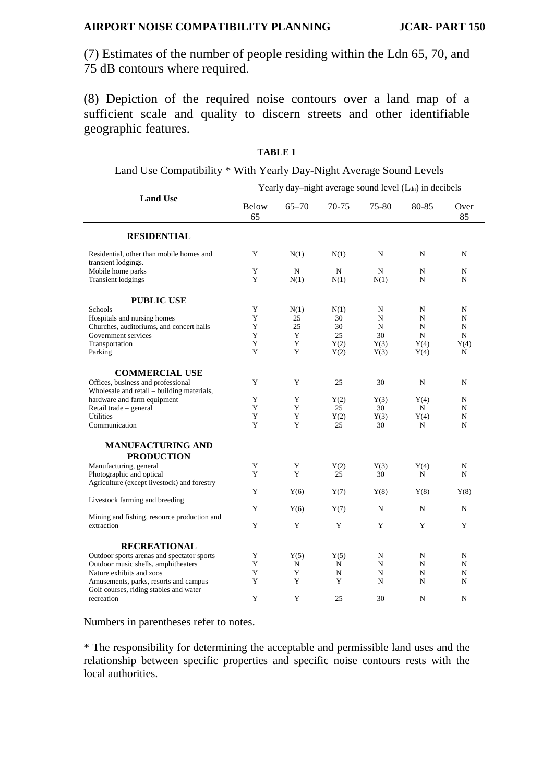(7) Estimates of the number of people residing within the Ldn 65, 70, and 75 dB contours where required.

(8) Depiction of the required noise contours over a land map of a sufficient scale and quality to discern streets and other identifiable geographic features.

| Land Use Compatibility * With Yearly Day-Night Average Sound Levels              |                                                                     |           |             |       |       |            |
|----------------------------------------------------------------------------------|---------------------------------------------------------------------|-----------|-------------|-------|-------|------------|
|                                                                                  | Yearly day-night average sound level (L <sub>dn</sub> ) in decibels |           |             |       |       |            |
| <b>Land Use</b>                                                                  | <b>Below</b><br>65                                                  | $65 - 70$ | $70-75$     | 75-80 | 80-85 | Over<br>85 |
| <b>RESIDENTIAL</b>                                                               |                                                                     |           |             |       |       |            |
| Residential, other than mobile homes and<br>transient lodgings.                  | Y                                                                   | N(1)      | N(1)        | N     | N     | N          |
| Mobile home parks                                                                | Y                                                                   | N         | N           | N     | N     | N          |
| <b>Transient lodgings</b>                                                        | Y                                                                   | N(1)      | N(1)        | N(1)  | N     | N          |
| <b>PUBLIC USE</b>                                                                |                                                                     |           |             |       |       |            |
| Schools                                                                          | Y                                                                   | N(1)      | N(1)        | N     | N     | N          |
| Hospitals and nursing homes                                                      | Y                                                                   | 25        | 30          | N     | N     | N          |
| Churches, auditoriums, and concert halls                                         | Y                                                                   | 25        | 30          | N     | N     | N          |
| Government services                                                              | Y                                                                   | Y         | 25          | 30    | N     | N          |
| Transportation                                                                   | Y                                                                   | Y         | Y(2)        | Y(3)  | Y(4)  | Y(4)       |
| Parking                                                                          | Y                                                                   | Y         | Y(2)        | Y(3)  | Y(4)  | N          |
| <b>COMMERCIAL USE</b>                                                            |                                                                     |           |             |       |       |            |
| Offices, business and professional<br>Wholesale and retail - building materials, | Y                                                                   | Y         | 25          | 30    | N     | N          |
| hardware and farm equipment                                                      | Y                                                                   | Y         | Y(2)        | Y(3)  | Y(4)  | N          |
| Retail trade - general                                                           | Y                                                                   | Y         | 25          | 30    | N     | N          |
| <b>Utilities</b>                                                                 | Y                                                                   | Y         | Y(2)        | Y(3)  | Y(4)  | N          |
| Communication                                                                    | Y                                                                   | Y         | 25          | 30    | N     | N          |
| <b>MANUFACTURING AND</b><br><b>PRODUCTION</b>                                    |                                                                     |           |             |       |       |            |
| Manufacturing, general                                                           | Y                                                                   | Y         | Y(2)        | Y(3)  | Y(4)  | N          |
| Photographic and optical                                                         | Y                                                                   | Y         | 25          | 30    | N     | N          |
| Agriculture (except livestock) and forestry                                      |                                                                     |           |             |       |       |            |
|                                                                                  | Y                                                                   | Y(6)      | Y(7)        | Y(8)  | Y(8)  | Y(8)       |
| Livestock farming and breeding                                                   | Y                                                                   | Y(6)      | Y(7)        | N     | N     | N          |
| Mining and fishing, resource production and                                      |                                                                     |           |             |       |       |            |
| extraction                                                                       | Y                                                                   | Y         | Y           | Y     | Y     | Y          |
| <b>RECREATIONAL</b>                                                              |                                                                     |           |             |       |       |            |
| Outdoor sports arenas and spectator sports                                       | Y                                                                   | Y(5)      | Y(5)        | N     | N     | N          |
| Outdoor music shells, amphitheaters                                              | Y                                                                   | N         | $\mathbf N$ | N     | N     | N          |
| Nature exhibits and zoos                                                         | Y                                                                   | Y         | $\mathbf N$ | N     | N     | N          |
| Amusements, parks, resorts and campus                                            | Y                                                                   | Y         | Y           | N     | N     | N          |
| Golf courses, riding stables and water                                           |                                                                     |           |             |       |       |            |
| recreation                                                                       | Y                                                                   | Y         | 25          | 30    | N     | N          |
|                                                                                  |                                                                     |           |             |       |       |            |

**TABLE 1**

Numbers in parentheses refer to notes.

\* The responsibility for determining the acceptable and permissible land uses and the relationship between specific properties and specific noise contours rests with the local authorities.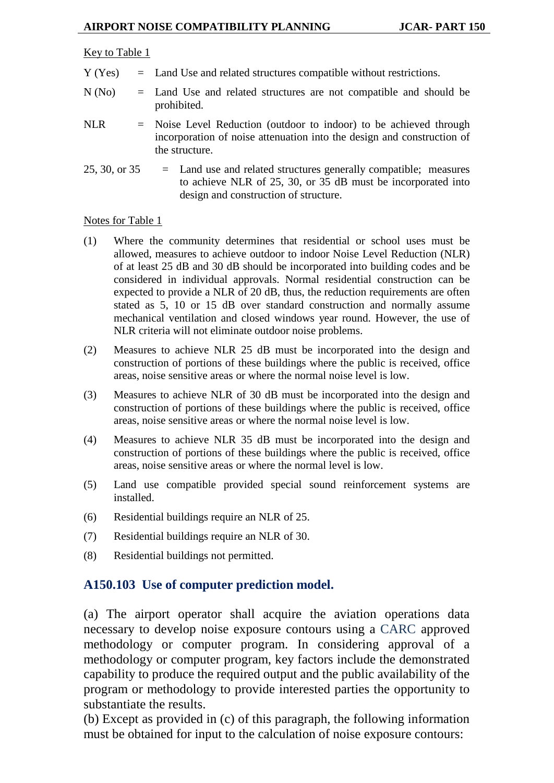#### Key to Table 1

- Y (Yes) = Land Use and related structures compatible without restrictions.
- N (No) = Land Use and related structures are not compatible and should be prohibited.
- NLR = Noise Level Reduction (outdoor to indoor) to be achieved through incorporation of noise attenuation into the design and construction of the structure.
- $25, 30,$  or  $35 =$  Land use and related structures generally compatible; measures to achieve NLR of 25, 30, or 35 dB must be incorporated into design and construction of structure.

#### Notes for Table 1

- (1) Where the community determines that residential or school uses must be allowed, measures to achieve outdoor to indoor Noise Level Reduction (NLR) of at least 25 dB and 30 dB should be incorporated into building codes and be considered in individual approvals. Normal residential construction can be expected to provide a NLR of 20 dB, thus, the reduction requirements are often stated as 5, 10 or 15 dB over standard construction and normally assume mechanical ventilation and closed windows year round. However, the use of NLR criteria will not eliminate outdoor noise problems.
- (2) Measures to achieve NLR 25 dB must be incorporated into the design and construction of portions of these buildings where the public is received, office areas, noise sensitive areas or where the normal noise level is low.
- (3) Measures to achieve NLR of 30 dB must be incorporated into the design and construction of portions of these buildings where the public is received, office areas, noise sensitive areas or where the normal noise level is low.
- (4) Measures to achieve NLR 35 dB must be incorporated into the design and construction of portions of these buildings where the public is received, office areas, noise sensitive areas or where the normal level is low.
- (5) Land use compatible provided special sound reinforcement systems are installed.
- (6) Residential buildings require an NLR of 25.
- (7) Residential buildings require an NLR of 30.
- (8) Residential buildings not permitted.

#### <span id="page-12-0"></span>**A150.103 Use of computer prediction model.**

(a) The airport operator shall acquire the aviation operations data necessary to develop noise exposure contours using a CARC approved methodology or computer program. In considering approval of a methodology or computer program, key factors include the demonstrated capability to produce the required output and the public availability of the program or methodology to provide interested parties the opportunity to substantiate the results.

(b) Except as provided in (c) of this paragraph, the following information must be obtained for input to the calculation of noise exposure contours: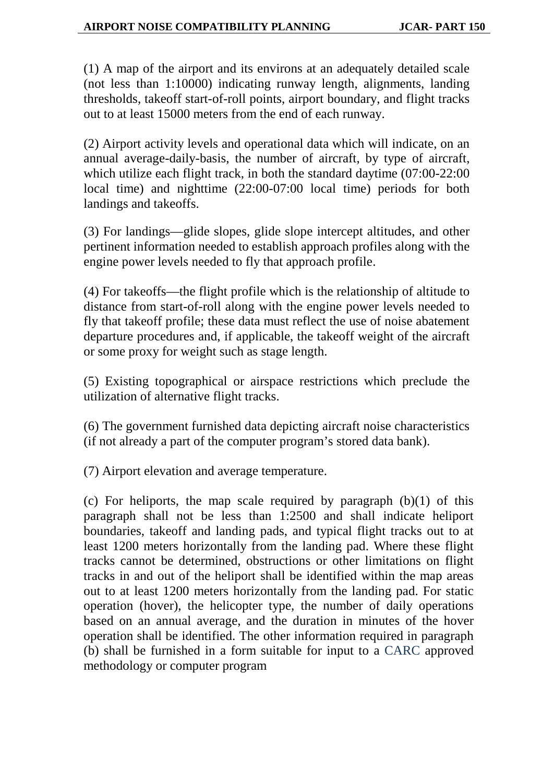(1) A map of the airport and its environs at an adequately detailed scale (not less than 1:10000) indicating runway length, alignments, landing thresholds, takeoff start-of-roll points, airport boundary, and flight tracks out to at least 15000 meters from the end of each runway.

(2) Airport activity levels and operational data which will indicate, on an annual average-daily-basis, the number of aircraft, by type of aircraft, which utilize each flight track, in both the standard daytime  $(07:00-22:00)$ local time) and nighttime (22:00-07:00 local time) periods for both landings and takeoffs.

(3) For landings—glide slopes, glide slope intercept altitudes, and other pertinent information needed to establish approach profiles along with the engine power levels needed to fly that approach profile.

(4) For takeoffs—the flight profile which is the relationship of altitude to distance from start-of-roll along with the engine power levels needed to fly that takeoff profile; these data must reflect the use of noise abatement departure procedures and, if applicable, the takeoff weight of the aircraft or some proxy for weight such as stage length.

(5) Existing topographical or airspace restrictions which preclude the utilization of alternative flight tracks.

(6) The government furnished data depicting aircraft noise characteristics (if not already a part of the computer program's stored data bank).

(7) Airport elevation and average temperature.

(c) For heliports, the map scale required by paragraph  $(b)(1)$  of this paragraph shall not be less than 1:2500 and shall indicate heliport boundaries, takeoff and landing pads, and typical flight tracks out to at least 1200 meters horizontally from the landing pad. Where these flight tracks cannot be determined, obstructions or other limitations on flight tracks in and out of the heliport shall be identified within the map areas out to at least 1200 meters horizontally from the landing pad. For static operation (hover), the helicopter type, the number of daily operations based on an annual average, and the duration in minutes of the hover operation shall be identified. The other information required in paragraph (b) shall be furnished in a form suitable for input to a CARC approved methodology or computer program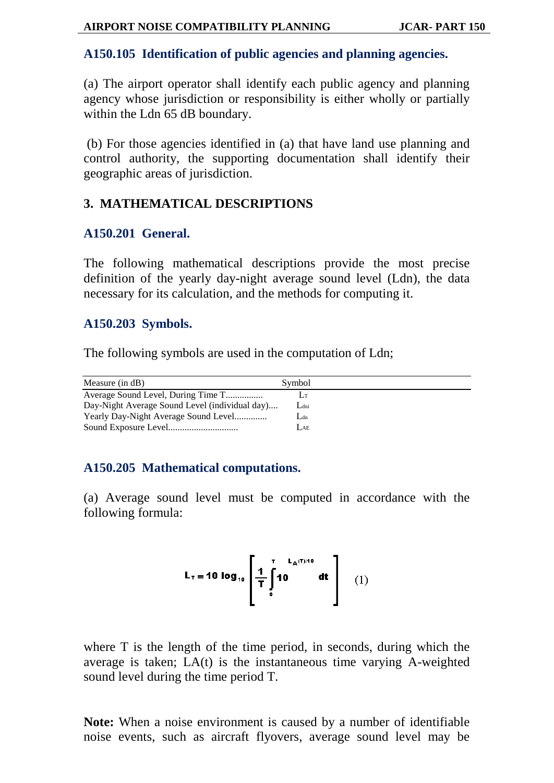## **A150.105 Identification of public agencies and planning agencies.**

(a) The airport operator shall identify each public agency and planning agency whose jurisdiction or responsibility is either wholly or partially within the Ldn 65 dB boundary.

(b) For those agencies identified in (a) that have land use planning and control authority, the supporting documentation shall identify their geographic areas of jurisdiction.

# **3. MATHEMATICAL DESCRIPTIONS**

# **A150.201 General.**

The following mathematical descriptions provide the most precise definition of the yearly day-night average sound level (Ldn), the data necessary for its calculation, and the methods for computing it.

# **A150.203 Symbols.**

The following symbols are used in the computation of Ldn;

| Measure $(in dB)$                              | Symbol |
|------------------------------------------------|--------|
|                                                | Lт     |
| Day-Night Average Sound Level (individual day) | Ldni   |
|                                                | $L$ dn |
|                                                | Lae    |

# **A150.205 Mathematical computations.**

(a) Average sound level must be computed in accordance with the following formula:

$$
L_{\tau} = 10 \log_{10} \left[ \frac{1}{T} \int_{0}^{T} 10^{L_{A}(T)/10} dt \right] \quad (1)
$$

where T is the length of the time period, in seconds, during which the average is taken; LA(t) is the instantaneous time varying A-weighted sound level during the time period T.

**Note:** When a noise environment is caused by a number of identifiable noise events, such as aircraft flyovers, average sound level may be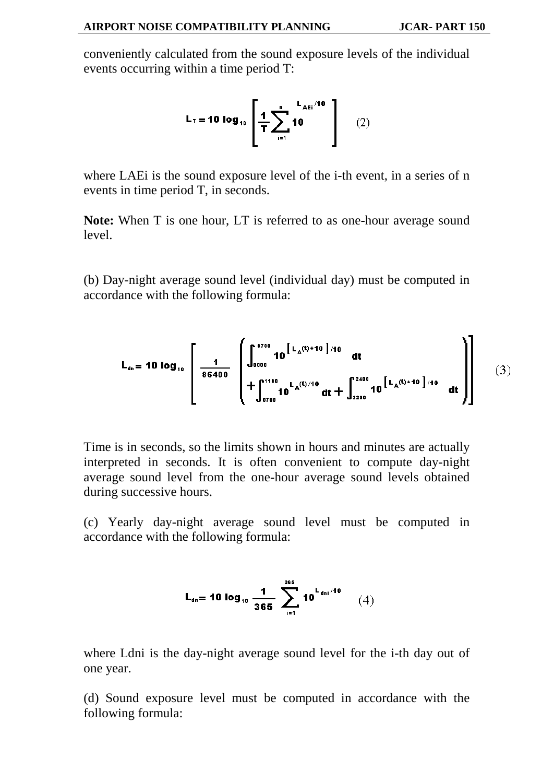conveniently calculated from the sound exposure levels of the individual events occurring within a time period T:

$$
L_{\tau} = 10 \log_{10} \left[ \frac{1}{T} \sum_{i=1}^{n} 10^{-1} \text{AEi}^{1/10} \right] \qquad (2)
$$

where LAEi is the sound exposure level of the i-th event, in a series of n events in time period T, in seconds.

**Note:** When T is one hour, LT is referred to as one-hour average sound level.

(b) Day-night average sound level (individual day) must be computed in accordance with the following formula:

$$
L_{dn} = 10 \log_{10} \left[ \frac{1}{86400} \left( \int_{0000}^{0700} 10^{\left[ L_A(t) + 10 \right] / 10} dt + \int_{2200}^{2400} 10^{\left[ L_A(t) + 10 \right] / 10} dt \right) \right]
$$
(3)

Time is in seconds, so the limits shown in hours and minutes are actually interpreted in seconds. It is often convenient to compute day-night average sound level from the one-hour average sound levels obtained during successive hours.

(c) Yearly day-night average sound level must be computed in accordance with the following formula:

$$
L_{\text{dn}} = 10 \log_{10} \frac{1}{365} \sum_{i=1}^{365} 10^{L_{\text{dn}i}/10} \qquad (4)
$$

where Ldni is the day-night average sound level for the i-th day out of one year.

(d) Sound exposure level must be computed in accordance with the following formula: